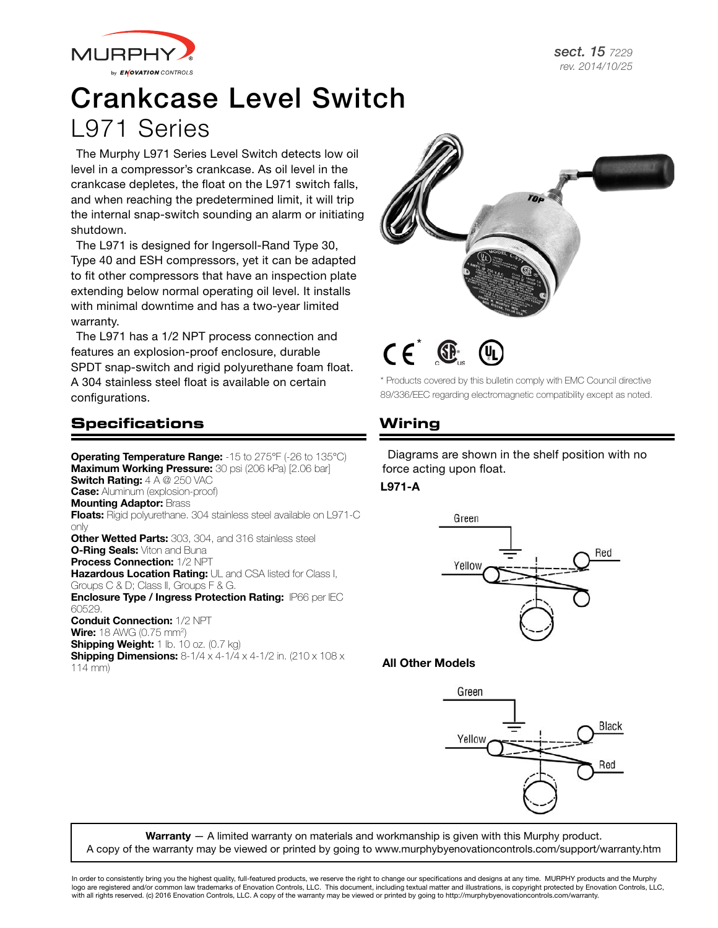

# Crankcase Level Switch L971 Series

The Murphy L971 Series Level Switch detects low oil level in a compressor's crankcase. As oil level in the crankcase depletes, the float on the L971 switch falls, and when reaching the predetermined limit, it will trip the internal snap-switch sounding an alarm or initiating shutdown.

The L971 is designed for Ingersoll-Rand Type 30, Type 40 and ESH compressors, yet it can be adapted to fit other compressors that have an inspection plate extending below normal operating oil level. It installs with minimal downtime and has a two-year limited warranty.

The L971 has a 1/2 NPT process connection and features an explosion-proof enclosure, durable SPDT snap-switch and rigid polyurethane foam float. A 304 stainless steel float is available on certain configurations.

## **Specifications**

**Operating Temperature Range:** -15 to 275°F (-26 to 135°C) Maximum Working Pressure: 30 psi (206 kPa) [2.06 bar] Switch Rating:  $4 A @ 250 VAC$ **Case:** Aluminum (explosion-proof) **Mounting Adaptor: Brass** Floats: Rigid polyurethane. 304 stainless steel available on L971-C only **Other Wetted Parts:** 303, 304, and 316 stainless steel **O-Ring Seals: Viton and Buna Process Connection: 1/2 NPT** Hazardous Location Rating: UL and CSA listed for Class I, Groups C & D; Class II, Groups F & G. Enclosure Type / Ingress Protection Rating: IP66 per IEC 60529. Conduit Connection: 1/2 NPT **Wire:** 18 AWG (0.75 mm<sup>2</sup>) Shipping Weight: 1 lb. 10 oz. (0.7 kg) **Shipping Dimensions:** 8-1/4 x 4-1/4 x 4-1/2 in. (210 x 108 x 114 mm)



 $CF^{\circ}$ 

\* Products covered by this bulletin comply with EMC Council directive 89/336/EEC regarding electromagnetic compatibility except as noted.

# **Wiring**

Diagrams are shown in the shelf position with no force acting upon float.

#### L971-A



#### All Other Models



Warranty - A limited warranty on materials and workmanship is given with this Murphy product. A copy of the warranty may be viewed or printed by going to www.murphybyenovationcontrols.com/support/warranty.htm

In order to consistently bring you the highest quality, full-featured products, we reserve the right to change our specifications and designs at any time. MURPHY products and the Murphy logo are registered and/or common law trademarks of Enovation Controls, LLC. This document, including textual matter and illustrations, is copyright protected by Enovation Controls, LLC, with all rights reserved. (c) 2016 Enovation Controls, LLC. A copy of the warranty may be viewed or printed by going to http://murphybyenovationcontrols.com/warranty.